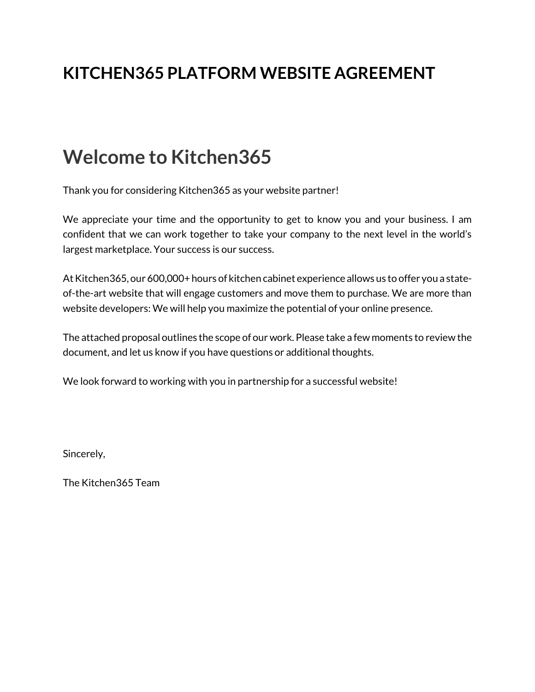## **KITCHEN365 PLATFORM WEBSITE AGREEMENT**

# **Welcome to Kitchen365**

Thank you for considering Kitchen365 as your website partner!

We appreciate your time and the opportunity to get to know you and your business. I am confident that we can work together to take your company to the next level in the world's largest marketplace. Your success is our success.

At Kitchen365, our 600,000+ hours of kitchen cabinet experience allows us to offer you a stateof-the-art website that will engage customers and move them to purchase. We are more than website developers: We will help you maximize the potential of your online presence.

The attached proposal outlines the scope of our work. Please take a few moments to review the document, and let us know if you have questions or additional thoughts.

We look forward to working with you in partnership for a successful website!

Sincerely,

The Kitchen365 Team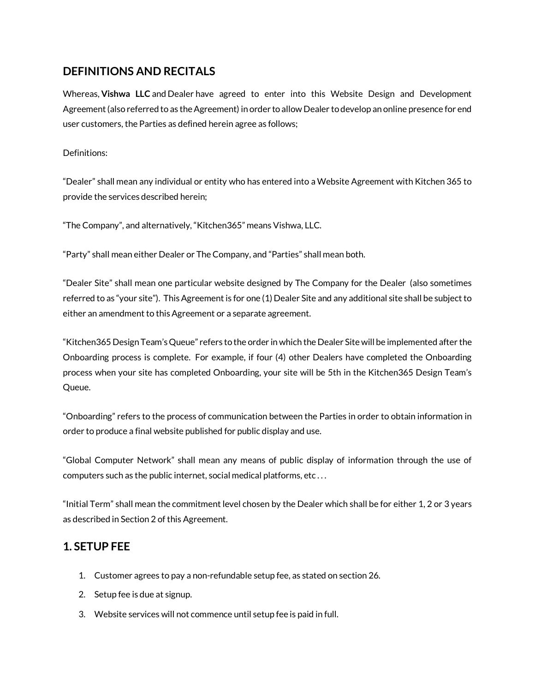#### **DEFINITIONS AND RECITALS**

Whereas, **Vishwa LLC** and Dealer have agreed to enter into this Website Design and Development Agreement (also referred to as the Agreement) in order to allow Dealer to develop an online presence for end user customers, the Parties as defined herein agree as follows;

Definitions:

"Dealer" shall mean any individual or entity who has entered into a Website Agreement with Kitchen 365 to provide the services described herein;

"The Company", and alternatively, "Kitchen365" means Vishwa, LLC.

"Party" shall mean either Dealer or The Company, and "Parties" shall mean both.

"Dealer Site" shall mean one particular website designed by The Company for the Dealer (also sometimes referred to as "your site"). This Agreement is for one (1) Dealer Site and any additional site shall be subject to either an amendment to this Agreement or a separate agreement.

"Kitchen365 Design Team's Queue" refers to the order in which the Dealer Site will be implemented after the Onboarding process is complete. For example, if four (4) other Dealers have completed the Onboarding process when your site has completed Onboarding, your site will be 5th in the Kitchen365 Design Team's Queue.

"Onboarding" refers to the process of communication between the Parties in order to obtain information in order to produce a final website published for public display and use.

"Global Computer Network" shall mean any means of public display of information through the use of computers such as the public internet, social medical platforms, etc . . .

"Initial Term" shall mean the commitment level chosen by the Dealer which shall be for either 1, 2 or 3 years as described in Section 2 of this Agreement.

#### **1. SETUP FEE**

- 1. Customer agrees to pay a non-refundable setup fee, as stated on section 26.
- 2. Setup fee is due at signup.
- 3. Website services will not commence until setup fee is paid in full.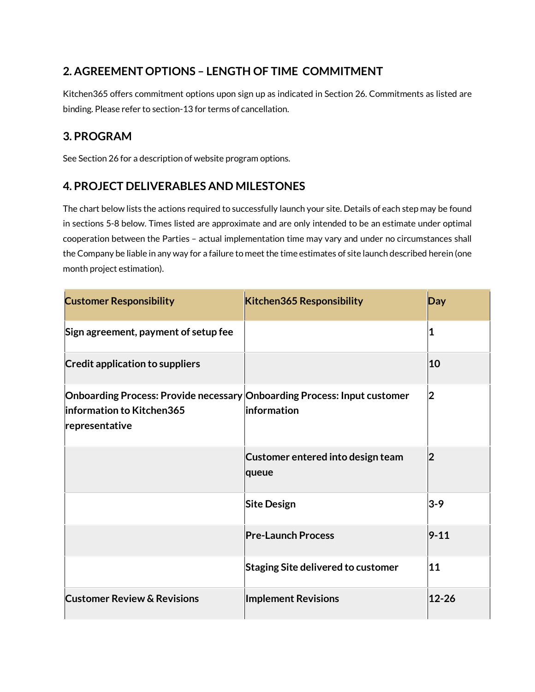### **2. AGREEMENT OPTIONS – LENGTH OF TIME COMMITMENT**

Kitchen365 offers commitment options upon sign up as indicated in Section 26. Commitments as listed are binding. Please refer to section-13 for terms of cancellation.

#### **3. PROGRAM**

See Section 26 for a description of website program options.

#### **4. PROJECT DELIVERABLES AND MILESTONES**

The chart below lists the actions required to successfully launch your site. Details of each step may be found in sections 5-8 below. Times listed are approximate and are only intended to be an estimate under optimal cooperation between the Parties – actual implementation time may vary and under no circumstances shall the Company be liable in any way for a failure to meet the time estimates of site launch described herein (one month project estimation).

| <b>Customer Responsibility</b>                                                                                          | <b>Kitchen365 Responsibility</b>           | Day            |
|-------------------------------------------------------------------------------------------------------------------------|--------------------------------------------|----------------|
| Sign agreement, payment of setup fee                                                                                    |                                            | 1              |
| <b>Credit application to suppliers</b>                                                                                  |                                            | 10             |
| Onboarding Process: Provide necessary Onboarding Process: Input customer<br>information to Kitchen365<br>representative | information                                | $\overline{2}$ |
|                                                                                                                         | Customer entered into design team<br>queue | $\overline{2}$ |
|                                                                                                                         | <b>Site Design</b>                         | $3 - 9$        |
|                                                                                                                         | <b>Pre-Launch Process</b>                  | $9 - 11$       |
|                                                                                                                         | <b>Staging Site delivered to customer</b>  | 11             |
| <b>Customer Review &amp; Revisions</b>                                                                                  | <b>Implement Revisions</b>                 | $12 - 26$      |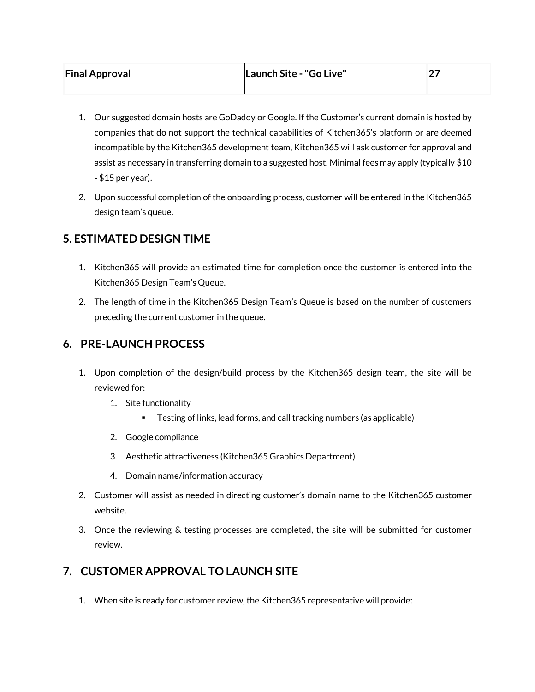|  | <b>Final Approval</b> |
|--|-----------------------|
|--|-----------------------|

- 1. Our suggested domain hosts are GoDaddy or Google. If the Customer's current domain is hosted by companies that do not support the technical capabilities of Kitchen365's platform or are deemed incompatible by the Kitchen365 development team, Kitchen365 will ask customer for approval and assist as necessary in transferring domain to a suggested host. Minimal fees may apply (typically \$10 - \$15 per year).
- 2. Upon successful completion of the onboarding process, customer will be entered in the Kitchen365 design team's queue.

#### **5. ESTIMATED DESIGN TIME**

- 1. Kitchen365 will provide an estimated time for completion once the customer is entered into the Kitchen365 Design Team's Queue.
- 2. The length of time in the Kitchen365 Design Team's Queue is based on the number of customers preceding the current customer in the queue.

#### **6. PRE-LAUNCH PROCESS**

- 1. Upon completion of the design/build process by the Kitchen365 design team, the site will be reviewed for:
	- 1. Site functionality
		- Testing of links, lead forms, and call tracking numbers (as applicable)
	- 2. Google compliance
	- 3. Aesthetic attractiveness (Kitchen365 Graphics Department)
	- 4. Domain name/information accuracy
- 2. Customer will assist as needed in directing customer's domain name to the Kitchen365 customer website.
- 3. Once the reviewing & testing processes are completed, the site will be submitted for customer review.

#### **7. CUSTOMER APPROVAL TO LAUNCH SITE**

1. When site is ready for customer review, the Kitchen365 representative will provide: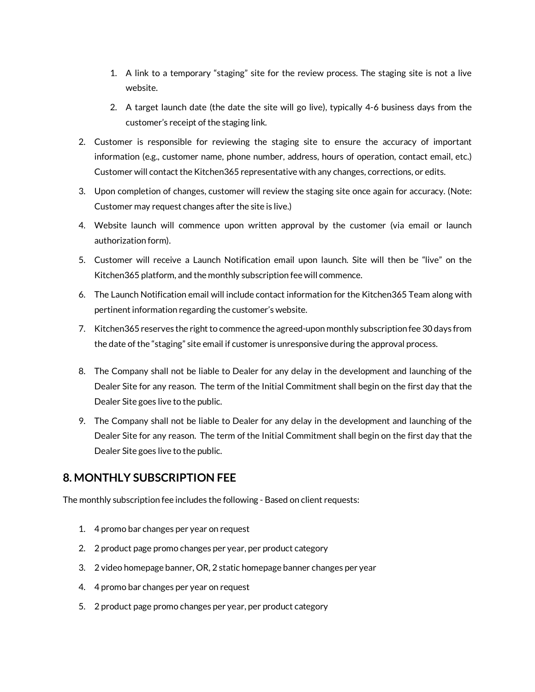- 1. A link to a temporary "staging" site for the review process. The staging site is not a live website.
- 2. A target launch date (the date the site will go live), typically 4-6 business days from the customer's receipt of the staging link.
- 2. Customer is responsible for reviewing the staging site to ensure the accuracy of important information (e.g., customer name, phone number, address, hours of operation, contact email, etc.) Customer will contact the Kitchen365 representative with any changes, corrections, or edits.
- 3. Upon completion of changes, customer will review the staging site once again for accuracy. (Note: Customer may request changes after the site is live.)
- 4. Website launch will commence upon written approval by the customer (via email or launch authorization form).
- 5. Customer will receive a Launch Notification email upon launch. Site will then be "live" on the Kitchen365 platform, and the monthly subscription fee will commence.
- 6. The Launch Notification email will include contact information for the Kitchen365 Team along with pertinent information regarding the customer's website.
- 7. Kitchen365 reserves the right to commence the agreed-upon monthly subscription fee 30 days from the date of the "staging" site email if customer is unresponsive during the approval process.
- 8. The Company shall not be liable to Dealer for any delay in the development and launching of the Dealer Site for any reason. The term of the Initial Commitment shall begin on the first day that the Dealer Site goes live to the public.
- 9. The Company shall not be liable to Dealer for any delay in the development and launching of the Dealer Site for any reason. The term of the Initial Commitment shall begin on the first day that the Dealer Site goes live to the public.

#### **8. MONTHLY SUBSCRIPTION FEE**

The monthly subscription fee includes the following - Based on client requests:

- 1. 4 promo bar changes per year on request
- 2. 2 product page promo changes per year, per product category
- 3. 2 video homepage banner, OR, 2 static homepage banner changes per year
- 4. 4 promo bar changes per year on request
- 5. 2 product page promo changes per year, per product category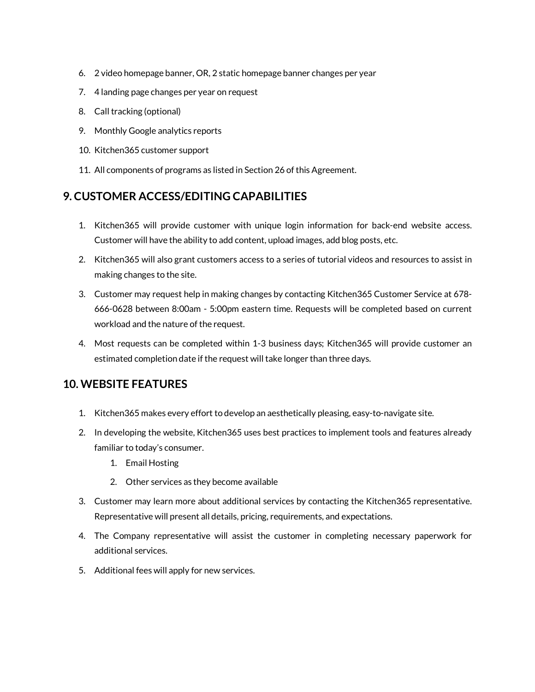- 6. 2 video homepage banner, OR, 2 static homepage banner changes per year
- 7. 4 landing page changes per year on request
- 8. Call tracking (optional)
- 9. Monthly Google analytics reports
- 10. Kitchen365 customer support
- 11. All components of programs as listed in Section 26 of this Agreement.

#### **9. CUSTOMER ACCESS/EDITING CAPABILITIES**

- 1. Kitchen365 will provide customer with unique login information for back-end website access. Customer will have the ability to add content, upload images, add blog posts, etc.
- 2. Kitchen365 will also grant customers access to a series of tutorial videos and resources to assist in making changes to the site.
- 3. Customer may request help in making changes by contacting Kitchen365 Customer Service at 678- 666-0628 between 8:00am - 5:00pm eastern time. Requests will be completed based on current workload and the nature of the request.
- 4. Most requests can be completed within 1-3 business days; Kitchen365 will provide customer an estimated completion date if the request will take longer than three days.

#### **10. WEBSITE FEATURES**

- 1. Kitchen365 makes every effort to develop an aesthetically pleasing, easy-to-navigate site.
- 2. In developing the website, Kitchen365 uses best practices to implement tools and features already familiar to today's consumer.
	- 1. Email Hosting
	- 2. Other services as they become available
- 3. Customer may learn more about additional services by contacting the Kitchen365 representative. Representative will present all details, pricing, requirements, and expectations.
- 4. The Company representative will assist the customer in completing necessary paperwork for additional services.
- 5. Additional fees will apply for new services.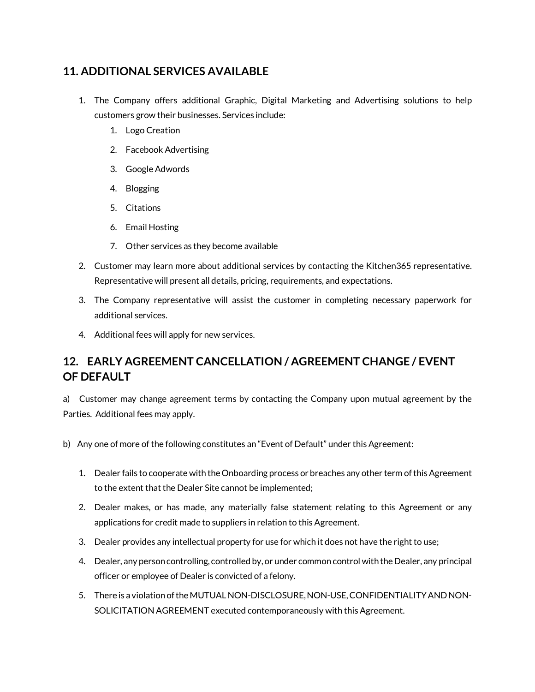#### **11. ADDITIONAL SERVICES AVAILABLE**

- 1. The Company offers additional Graphic, Digital Marketing and Advertising solutions to help customers grow their businesses. Services include:
	- 1. Logo Creation
	- 2. Facebook Advertising
	- 3. Google Adwords
	- 4. Blogging
	- 5. Citations
	- 6. Email Hosting
	- 7. Other services as they become available
- 2. Customer may learn more about additional services by contacting the Kitchen365 representative. Representative will present all details, pricing, requirements, and expectations.
- 3. The Company representative will assist the customer in completing necessary paperwork for additional services.
- 4. Additional fees will apply for new services.

### **12. EARLY AGREEMENT CANCELLATION / AGREEMENT CHANGE / EVENT OF DEFAULT**

a) Customer may change agreement terms by contacting the Company upon mutual agreement by the Parties. Additional fees may apply.

- b) Any one of more of the following constitutes an "Event of Default" under this Agreement:
	- 1. Dealer fails to cooperate with the Onboarding process or breaches any other term of this Agreement to the extent that the Dealer Site cannot be implemented;
	- 2. Dealer makes, or has made, any materially false statement relating to this Agreement or any applications for credit made to suppliers in relation to this Agreement.
	- 3. Dealer provides any intellectual property for use for which it does not have the right to use;
	- 4. Dealer, any person controlling, controlled by, or under common control with the Dealer, any principal officer or employee of Dealer is convicted of a felony.
	- 5. There is a violation of the MUTUAL NON-DISCLOSURE, NON-USE, CONFIDENTIALITY AND NON-SOLICITATION AGREEMENT executed contemporaneously with this Agreement.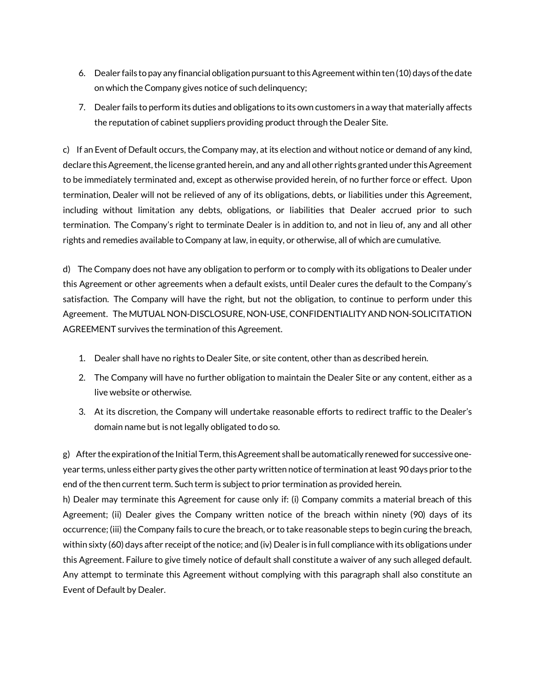- 6. Dealer fails to pay any financial obligation pursuant to this Agreement within ten (10) days of the date on which the Company gives notice of such delinquency;
- 7. Dealer fails to perform its duties and obligations to its own customers in a way that materially affects the reputation of cabinet suppliers providing product through the Dealer Site.

c) If an Event of Default occurs, the Company may, at its election and without notice or demand of any kind, declare this Agreement, the license granted herein, and any and all other rights granted under this Agreement to be immediately terminated and, except as otherwise provided herein, of no further force or effect. Upon termination, Dealer will not be relieved of any of its obligations, debts, or liabilities under this Agreement, including without limitation any debts, obligations, or liabilities that Dealer accrued prior to such termination. The Company's right to terminate Dealer is in addition to, and not in lieu of, any and all other rights and remedies available to Company at law, in equity, or otherwise, all of which are cumulative.

d) The Company does not have any obligation to perform or to comply with its obligations to Dealer under this Agreement or other agreements when a default exists, until Dealer cures the default to the Company's satisfaction. The Company will have the right, but not the obligation, to continue to perform under this Agreement. The MUTUAL NON-DISCLOSURE, NON-USE, CONFIDENTIALITY AND NON-SOLICITATION AGREEMENT survives the termination of this Agreement.

- 1. Dealer shall have no rights to Dealer Site, or site content, other than as described herein.
- 2. The Company will have no further obligation to maintain the Dealer Site or any content, either as a live website or otherwise.
- 3. At its discretion, the Company will undertake reasonable efforts to redirect traffic to the Dealer's domain name but is not legally obligated to do so.

g) After the expiration of the Initial Term, this Agreement shall be automatically renewed for successive oneyear terms, unless either party gives the other party written notice of termination at least 90 days prior to the end of the then current term. Such term is subject to prior termination as provided herein.

h) Dealer may terminate this Agreement for cause only if: (i) Company commits a material breach of this Agreement; (ii) Dealer gives the Company written notice of the breach within ninety (90) days of its occurrence; (iii) the Company fails to cure the breach, or to take reasonable steps to begin curing the breach, within sixty (60) days after receipt of the notice; and (iv) Dealer is in full compliance with its obligations under this Agreement. Failure to give timely notice of default shall constitute a waiver of any such alleged default. Any attempt to terminate this Agreement without complying with this paragraph shall also constitute an Event of Default by Dealer.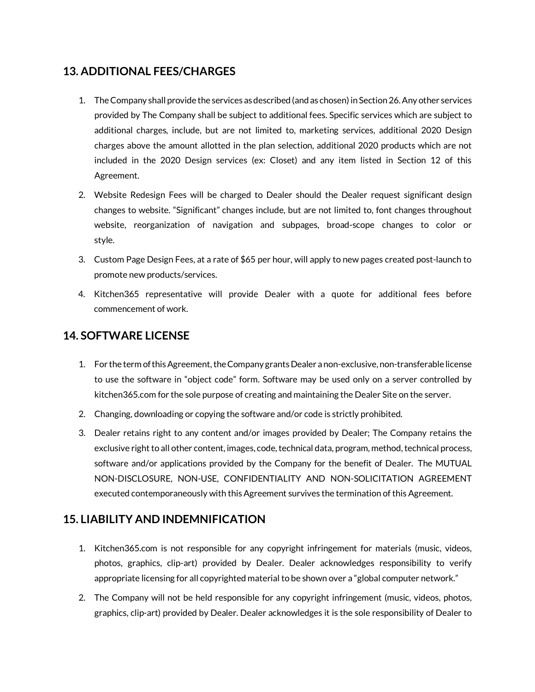#### **13. ADDITIONAL FEES/CHARGES**

- 1. The Company shall provide the services as described (and as chosen) in Section 26. Any other services provided by The Company shall be subject to additional fees. Specific services which are subject to additional charges, include, but are not limited to, marketing services, additional 2020 Design charges above the amount allotted in the plan selection, additional 2020 products which are not included in the 2020 Design services (ex: Closet) and any item listed in Section 12 of this Agreement.
- 2. Website Redesign Fees will be charged to Dealer should the Dealer request significant design changes to website. "Significant" changes include, but are not limited to, font changes throughout website, reorganization of navigation and subpages, broad-scope changes to color or style.
- 3. Custom Page Design Fees, at a rate of \$65 per hour, will apply to new pages created post-launch to promote new products/services.
- 4. Kitchen365 representative will provide Dealer with a quote for additional fees before commencement of work.

#### **14. SOFTWARE LICENSE**

- 1. For the term of this Agreement, the Company grants Dealer a non-exclusive, non-transferable license to use the software in "object code" form. Software may be used only on a server controlled by kitchen365.com for the sole purpose of creating and maintaining the Dealer Site on the server.
- 2. Changing, downloading or copying the software and/or code is strictly prohibited.
- 3. Dealer retains right to any content and/or images provided by Dealer; The Company retains the exclusive right to all other content, images, code, technical data, program, method, technical process, software and/or applications provided by the Company for the benefit of Dealer. The MUTUAL NON-DISCLOSURE, NON-USE, CONFIDENTIALITY AND NON-SOLICITATION AGREEMENT executed contemporaneously with this Agreement survives the termination of this Agreement.

#### **15. LIABILITY AND INDEMNIFICATION**

- 1. Kitchen365.com is not responsible for any copyright infringement for materials (music, videos, photos, graphics, clip-art) provided by Dealer. Dealer acknowledges responsibility to verify appropriate licensing for all copyrighted material to be shown over a "global computer network."
- 2. The Company will not be held responsible for any copyright infringement (music, videos, photos, graphics, clip-art) provided by Dealer. Dealer acknowledges it is the sole responsibility of Dealer to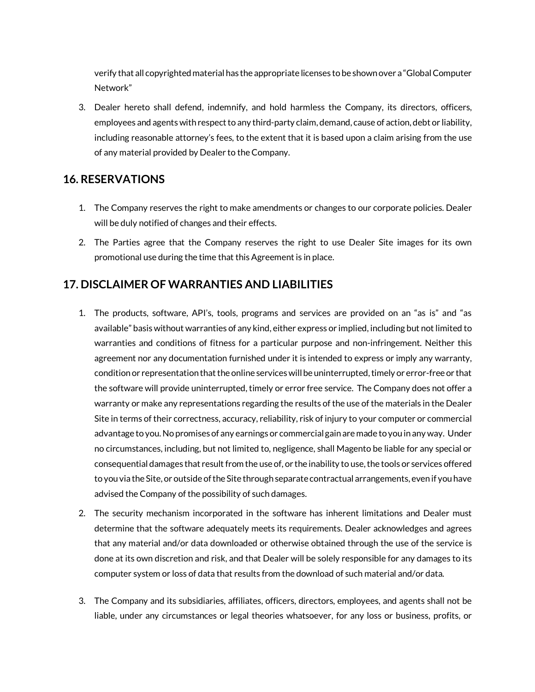verify that all copyrighted material has the appropriate licenses to be shown over a "Global Computer Network"

3. Dealer hereto shall defend, indemnify, and hold harmless the Company, its directors, officers, employees and agents with respect to any third-party claim, demand, cause of action, debt or liability, including reasonable attorney's fees, to the extent that it is based upon a claim arising from the use of any material provided by Dealer to the Company.

#### **16. RESERVATIONS**

- 1. The Company reserves the right to make amendments or changes to our corporate policies. Dealer will be duly notified of changes and their effects.
- 2. The Parties agree that the Company reserves the right to use Dealer Site images for its own promotional use during the time that this Agreement is in place.

#### **17. DISCLAIMER OF WARRANTIES AND LIABILITIES**

- 1. The products, software, API's, tools, programs and services are provided on an "as is" and "as available" basis without warranties of any kind, either express or implied, including but not limited to warranties and conditions of fitness for a particular purpose and non-infringement. Neither this agreement nor any documentation furnished under it is intended to express or imply any warranty, condition or representation that the online services will be uninterrupted, timely or error-free or that the software will provide uninterrupted, timely or error free service. The Company does not offer a warranty or make any representations regarding the results of the use of the materials in the Dealer Site in terms of their correctness, accuracy, reliability, risk of injury to your computer or commercial advantage to you. No promises of any earnings or commercial gain are made to you in any way. Under no circumstances, including, but not limited to, negligence, shall Magento be liable for any special or consequential damages that result from the use of, or the inability to use, the tools or services offered to you via the Site, or outside of the Site through separate contractual arrangements, even if you have advised the Company of the possibility of such damages.
- 2. The security mechanism incorporated in the software has inherent limitations and Dealer must determine that the software adequately meets its requirements. Dealer acknowledges and agrees that any material and/or data downloaded or otherwise obtained through the use of the service is done at its own discretion and risk, and that Dealer will be solely responsible for any damages to its computer system or loss of data that results from the download of such material and/or data.
- 3. The Company and its subsidiaries, affiliates, officers, directors, employees, and agents shall not be liable, under any circumstances or legal theories whatsoever, for any loss or business, profits, or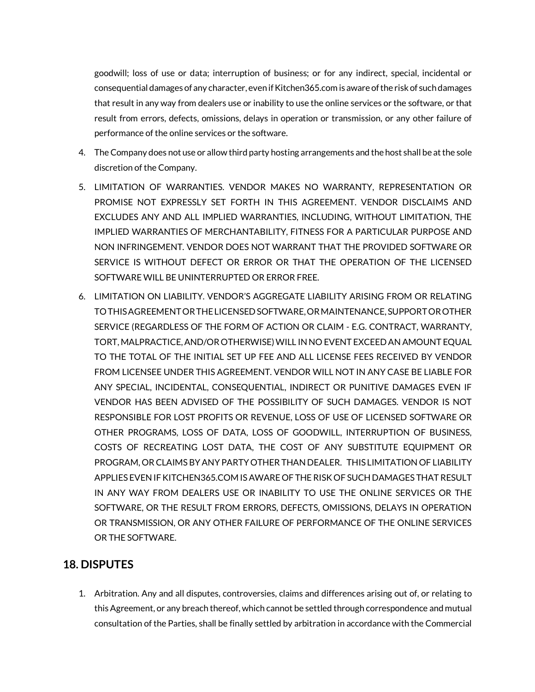goodwill; loss of use or data; interruption of business; or for any indirect, special, incidental or consequential damages of any character, even if Kitchen365.com is aware of the risk of such damages that result in any way from dealers use or inability to use the online services or the software, or that result from errors, defects, omissions, delays in operation or transmission, or any other failure of performance of the online services or the software.

- 4. The Company does not use or allow third party hosting arrangements and the host shall be at the sole discretion of the Company.
- 5. LIMITATION OF WARRANTIES. VENDOR MAKES NO WARRANTY, REPRESENTATION OR PROMISE NOT EXPRESSLY SET FORTH IN THIS AGREEMENT. VENDOR DISCLAIMS AND EXCLUDES ANY AND ALL IMPLIED WARRANTIES, INCLUDING, WITHOUT LIMITATION, THE IMPLIED WARRANTIES OF MERCHANTABILITY, FITNESS FOR A PARTICULAR PURPOSE AND NON INFRINGEMENT. VENDOR DOES NOT WARRANT THAT THE PROVIDED SOFTWARE OR SERVICE IS WITHOUT DEFECT OR ERROR OR THAT THE OPERATION OF THE LICENSED SOFTWARE WILL BE UNINTERRUPTED OR ERROR FREE.
- 6. LIMITATION ON LIABILITY. VENDOR'S AGGREGATE LIABILITY ARISING FROM OR RELATING TO THIS AGREEMENT OR THE LICENSED SOFTWARE, OR MAINTENANCE, SUPPORT OR OTHER SERVICE (REGARDLESS OF THE FORM OF ACTION OR CLAIM - E.G. CONTRACT, WARRANTY, TORT, MALPRACTICE, AND/OR OTHERWISE) WILL IN NO EVENT EXCEED AN AMOUNT EQUAL TO THE TOTAL OF THE INITIAL SET UP FEE AND ALL LICENSE FEES RECEIVED BY VENDOR FROM LICENSEE UNDER THIS AGREEMENT. VENDOR WILL NOT IN ANY CASE BE LIABLE FOR ANY SPECIAL, INCIDENTAL, CONSEQUENTIAL, INDIRECT OR PUNITIVE DAMAGES EVEN IF VENDOR HAS BEEN ADVISED OF THE POSSIBILITY OF SUCH DAMAGES. VENDOR IS NOT RESPONSIBLE FOR LOST PROFITS OR REVENUE, LOSS OF USE OF LICENSED SOFTWARE OR OTHER PROGRAMS, LOSS OF DATA, LOSS OF GOODWILL, INTERRUPTION OF BUSINESS, COSTS OF RECREATING LOST DATA, THE COST OF ANY SUBSTITUTE EQUIPMENT OR PROGRAM, OR CLAIMS BY ANY PARTY OTHER THAN DEALER. THIS LIMITATION OF LIABILITY APPLIES EVEN IF KITCHEN365.COM IS AWARE OF THE RISK OF SUCH DAMAGES THAT RESULT IN ANY WAY FROM DEALERS USE OR INABILITY TO USE THE ONLINE SERVICES OR THE SOFTWARE, OR THE RESULT FROM ERRORS, DEFECTS, OMISSIONS, DELAYS IN OPERATION OR TRANSMISSION, OR ANY OTHER FAILURE OF PERFORMANCE OF THE ONLINE SERVICES OR THE SOFTWARE.

#### **18. DISPUTES**

1. Arbitration. Any and all disputes, controversies, claims and differences arising out of, or relating to this Agreement, or any breach thereof, which cannot be settled through correspondence and mutual consultation of the Parties, shall be finally settled by arbitration in accordance with the Commercial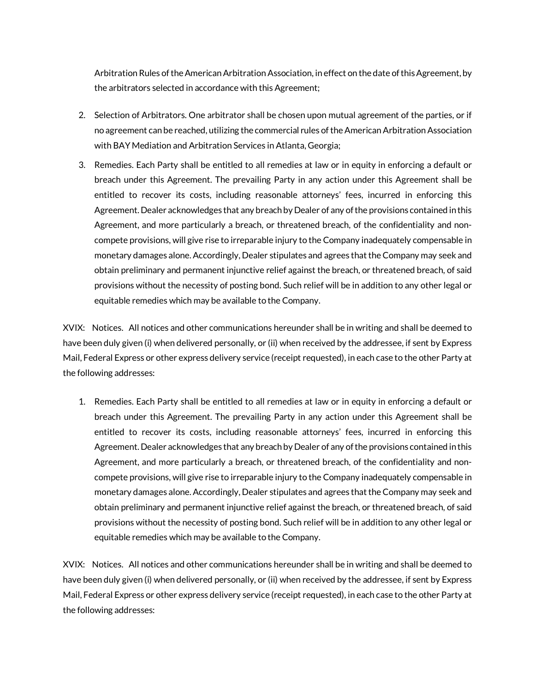Arbitration Rules of the American Arbitration Association, in effect on the date of this Agreement, by the arbitrators selected in accordance with this Agreement;

- 2. Selection of Arbitrators. One arbitrator shall be chosen upon mutual agreement of the parties, or if no agreement can be reached, utilizing the commercial rules of the American Arbitration Association with BAY Mediation and Arbitration Services in Atlanta, Georgia;
- 3. Remedies. Each Party shall be entitled to all remedies at law or in equity in enforcing a default or breach under this Agreement. The prevailing Party in any action under this Agreement shall be entitled to recover its costs, including reasonable attorneys' fees, incurred in enforcing this Agreement. Dealer acknowledges that any breach by Dealer of any of the provisions contained in this Agreement, and more particularly a breach, or threatened breach, of the confidentiality and noncompete provisions, will give rise to irreparable injury to the Company inadequately compensable in monetary damages alone. Accordingly, Dealer stipulates and agrees that the Company may seek and obtain preliminary and permanent injunctive relief against the breach, or threatened breach, of said provisions without the necessity of posting bond. Such relief will be in addition to any other legal or equitable remedies which may be available to the Company.

XVIX: Notices. All notices and other communications hereunder shall be in writing and shall be deemed to have been duly given (i) when delivered personally, or (ii) when received by the addressee, if sent by Express Mail, Federal Express or other express delivery service (receipt requested), in each case to the other Party at the following addresses:

1. Remedies. Each Party shall be entitled to all remedies at law or in equity in enforcing a default or breach under this Agreement. The prevailing Party in any action under this Agreement shall be entitled to recover its costs, including reasonable attorneys' fees, incurred in enforcing this Agreement. Dealer acknowledges that any breach by Dealer of any of the provisions contained in this Agreement, and more particularly a breach, or threatened breach, of the confidentiality and noncompete provisions, will give rise to irreparable injury to the Company inadequately compensable in monetary damages alone. Accordingly, Dealer stipulates and agrees that the Company may seek and obtain preliminary and permanent injunctive relief against the breach, or threatened breach, of said provisions without the necessity of posting bond. Such relief will be in addition to any other legal or equitable remedies which may be available to the Company.

XVIX: Notices. All notices and other communications hereunder shall be in writing and shall be deemed to have been duly given (i) when delivered personally, or (ii) when received by the addressee, if sent by Express Mail, Federal Express or other express delivery service (receipt requested), in each case to the other Party at the following addresses: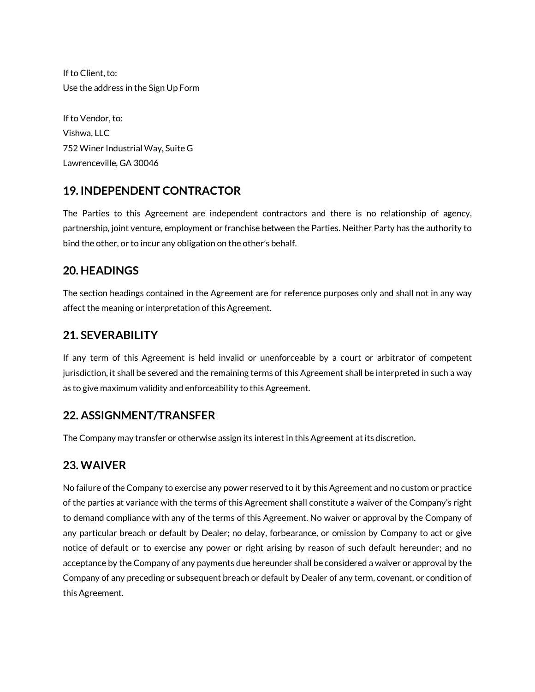If to Client, to: Use the address in the Sign Up Form

If to Vendor, to: Vishwa, LLC 752 Winer Industrial Way, Suite G Lawrenceville, GA 30046

#### **19. INDEPENDENT CONTRACTOR**

The Parties to this Agreement are independent contractors and there is no relationship of agency, partnership, joint venture, employment or franchise between the Parties. Neither Party has the authority to bind the other, or to incur any obligation on the other's behalf.

#### **20. HEADINGS**

The section headings contained in the Agreement are for reference purposes only and shall not in any way affect the meaning or interpretation of this Agreement.

#### **21. SEVERABILITY**

If any term of this Agreement is held invalid or unenforceable by a court or arbitrator of competent jurisdiction, it shall be severed and the remaining terms of this Agreement shall be interpreted in such a way as to give maximum validity and enforceability to this Agreement.

#### **22. ASSIGNMENT/TRANSFER**

The Company may transfer or otherwise assign its interest in this Agreement at its discretion.

#### **23. WAIVER**

No failure of the Company to exercise any power reserved to it by this Agreement and no custom or practice of the parties at variance with the terms of this Agreement shall constitute a waiver of the Company's right to demand compliance with any of the terms of this Agreement. No waiver or approval by the Company of any particular breach or default by Dealer; no delay, forbearance, or omission by Company to act or give notice of default or to exercise any power or right arising by reason of such default hereunder; and no acceptance by the Company of any payments due hereunder shall be considered a waiver or approval by the Company of any preceding or subsequent breach or default by Dealer of any term, covenant, or condition of this Agreement.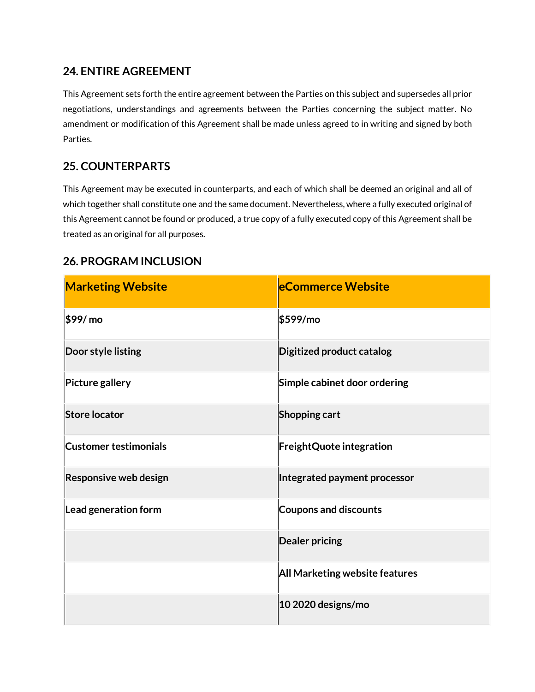#### **24. ENTIRE AGREEMENT**

This Agreement sets forth the entire agreement between the Parties on this subject and supersedes all prior negotiations, understandings and agreements between the Parties concerning the subject matter. No amendment or modification of this Agreement shall be made unless agreed to in writing and signed by both Parties.

#### **25. COUNTERPARTS**

This Agreement may be executed in counterparts, and each of which shall be deemed an original and all of which together shall constitute one and the same document. Nevertheless, where a fully executed original of this Agreement cannot be found or produced, a true copy of a fully executed copy of this Agreement shall be treated as an original for all purposes.

#### **26. PROGRAM INCLUSION**

| <b>Marketing Website</b>     | <b>eCommerce Website</b>         |
|------------------------------|----------------------------------|
| \$99/mo                      | \$599/mo                         |
| Door style listing           | <b>Digitized product catalog</b> |
| <b>Picture gallery</b>       | Simple cabinet door ordering     |
| <b>Store locator</b>         | Shopping cart                    |
| <b>Customer testimonials</b> | <b>FreightQuote integration</b>  |
| Responsive web design        | Integrated payment processor     |
| Lead generation form         | <b>Coupons and discounts</b>     |
|                              | <b>Dealer pricing</b>            |
|                              | All Marketing website features   |
|                              | 10 2020 designs/mo               |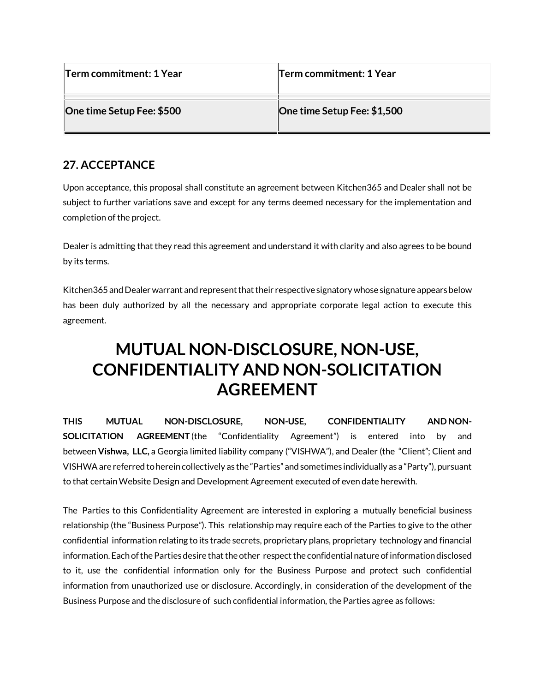| Term commitment: 1 Year   | Term commitment: 1 Year     |
|---------------------------|-----------------------------|
| One time Setup Fee: \$500 | One time Setup Fee: \$1,500 |

#### **27. ACCEPTANCE**

Upon acceptance, this proposal shall constitute an agreement between Kitchen365 and Dealer shall not be subject to further variations save and except for any terms deemed necessary for the implementation and completion of the project.

Dealer is admitting that they read this agreement and understand it with clarity and also agrees to be bound by its terms.

Kitchen365 and Dealer warrant and represent that their respective signatory whose signature appears below has been duly authorized by all the necessary and appropriate corporate legal action to execute this agreement.

### **MUTUAL NON-DISCLOSURE, NON-USE, CONFIDENTIALITY AND NON-SOLICITATION AGREEMENT**

**THIS MUTUAL NON-DISCLOSURE, NON-USE, CONFIDENTIALITY AND NON-SOLICITATION AGREEMENT** (the "Confidentiality Agreement") is entered into by and between **Vishwa, LLC,** a Georgia limited liability company ("VISHWA"), and Dealer (the "Client"; Client and VISHWA are referred to herein collectively as the "Parties" and sometimes individually as a "Party"), pursuant to that certain Website Design and Development Agreement executed of even date herewith.

The Parties to this Confidentiality Agreement are interested in exploring a mutually beneficial business relationship (the "Business Purpose"). This relationship may require each of the Parties to give to the other confidential information relating to its trade secrets, proprietary plans, proprietary technology and financial information. Each of the Parties desire that the other respect the confidential nature of information disclosed to it, use the confidential information only for the Business Purpose and protect such confidential information from unauthorized use or disclosure. Accordingly, in consideration of the development of the Business Purpose and the disclosure of such confidential information, the Parties agree as follows: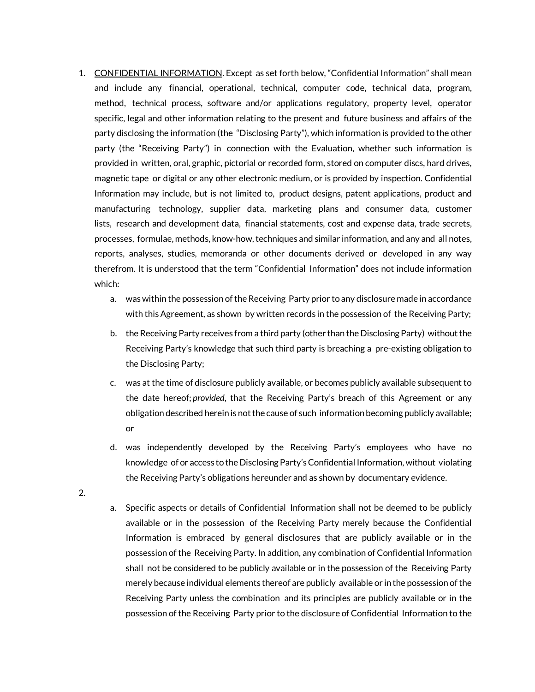- 1. CONFIDENTIAL INFORMATION**.** Except as set forth below, "Confidential Information" shall mean and include any financial, operational, technical, computer code, technical data, program, method, technical process, software and/or applications regulatory, property level, operator specific, legal and other information relating to the present and future business and affairs of the party disclosing the information (the "Disclosing Party"), which information is provided to the other party (the "Receiving Party") in connection with the Evaluation, whether such information is provided in written, oral, graphic, pictorial or recorded form, stored on computer discs, hard drives, magnetic tape or digital or any other electronic medium, or is provided by inspection. Confidential Information may include, but is not limited to, product designs, patent applications, product and manufacturing technology, supplier data, marketing plans and consumer data, customer lists, research and development data, financial statements, cost and expense data, trade secrets, processes, formulae, methods, know-how, techniques and similar information, and any and all notes, reports, analyses, studies, memoranda or other documents derived or developed in any way therefrom. It is understood that the term "Confidential Information" does not include information which:
	- a. was within the possession of the Receiving Party prior to any disclosure made in accordance with this Agreement, as shown by written records in the possession of the Receiving Party;
	- b. the Receiving Party receives from a third party (other than the Disclosing Party) without the Receiving Party's knowledge that such third party is breaching a pre-existing obligation to the Disclosing Party;
	- c. was at the time of disclosure publicly available, or becomes publicly available subsequent to the date hereof; *provided*, that the Receiving Party's breach of this Agreement or any obligation described herein is not the cause of such information becoming publicly available; or
	- d. was independently developed by the Receiving Party's employees who have no knowledge of or access to the Disclosing Party's Confidential Information, without violating the Receiving Party's obligations hereunder and as shown by documentary evidence.
- 2.
- a. Specific aspects or details of Confidential Information shall not be deemed to be publicly available or in the possession of the Receiving Party merely because the Confidential Information is embraced by general disclosures that are publicly available or in the possession of the Receiving Party. In addition, any combination of Confidential Information shall not be considered to be publicly available or in the possession of the Receiving Party merely because individual elements thereof are publicly available or in the possession of the Receiving Party unless the combination and its principles are publicly available or in the possession of the Receiving Party prior to the disclosure of Confidential Information to the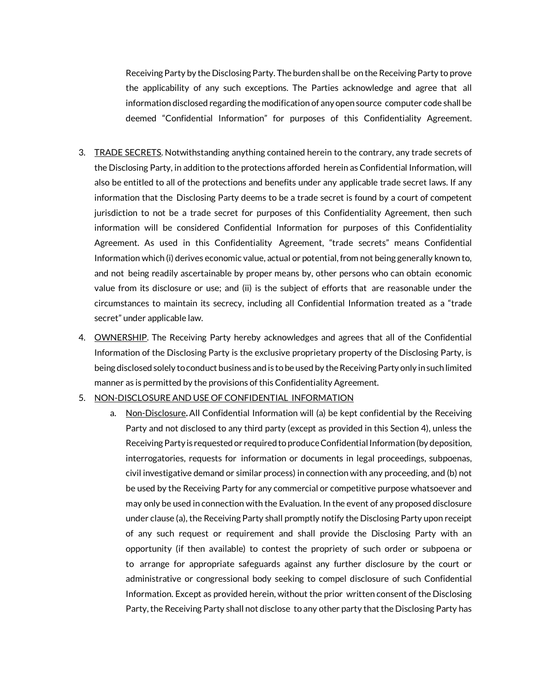Receiving Party by the Disclosing Party. The burden shall be on the Receiving Party to prove the applicability of any such exceptions. The Parties acknowledge and agree that all information disclosed regarding the modification of any open source computer code shall be deemed "Confidential Information" for purposes of this Confidentiality Agreement.

- 3. TRADE SECRETS. Notwithstanding anything contained herein to the contrary, any trade secrets of the Disclosing Party, in addition to the protections afforded herein as Confidential Information, will also be entitled to all of the protections and benefits under any applicable trade secret laws. If any information that the Disclosing Party deems to be a trade secret is found by a court of competent jurisdiction to not be a trade secret for purposes of this Confidentiality Agreement, then such information will be considered Confidential Information for purposes of this Confidentiality Agreement. As used in this Confidentiality Agreement, "trade secrets" means Confidential Information which (i) derives economic value, actual or potential, from not being generally known to, and not being readily ascertainable by proper means by, other persons who can obtain economic value from its disclosure or use; and (ii) is the subject of efforts that are reasonable under the circumstances to maintain its secrecy, including all Confidential Information treated as a "trade secret" under applicable law.
- 4. **OWNERSHIP**. The Receiving Party hereby acknowledges and agrees that all of the Confidential Information of the Disclosing Party is the exclusive proprietary property of the Disclosing Party, is being disclosed solely to conduct business and is to be used by the Receiving Party only in such limited manner as is permitted by the provisions of this Confidentiality Agreement.

#### 5. NON-DISCLOSURE AND USE OF CONFIDENTIAL INFORMATION

a. Non-Disclosure**.**All Confidential Information will (a) be kept confidential by the Receiving Party and not disclosed to any third party (except as provided in this Section 4), unless the Receiving Party is requested or required to produce Confidential Information (by deposition, interrogatories, requests for information or documents in legal proceedings, subpoenas, civil investigative demand or similar process) in connection with any proceeding, and (b) not be used by the Receiving Party for any commercial or competitive purpose whatsoever and may only be used in connection with the Evaluation. In the event of any proposed disclosure under clause (a), the Receiving Party shall promptly notify the Disclosing Party upon receipt of any such request or requirement and shall provide the Disclosing Party with an opportunity (if then available) to contest the propriety of such order or subpoena or to arrange for appropriate safeguards against any further disclosure by the court or administrative or congressional body seeking to compel disclosure of such Confidential Information. Except as provided herein, without the prior written consent of the Disclosing Party, the Receiving Party shall not disclose to any other party that the Disclosing Party has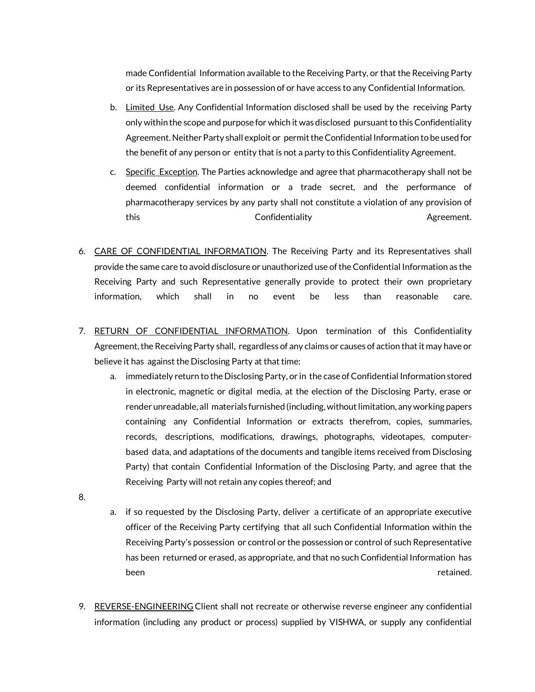made Confidential Information available to the Receiving Party, or that the Receiving Party or its Representatives are in possession of or have access to any Confidential Information.

- b. Limited Use. Any Confidential Information disclosed shall be used by the receiving Party only within the scope and purpose for which it was disclosed pursuant to this Confidentiality Agreement. Neither Party shall exploit or permit the Confidential Information to be used for the benefit of any person or entity that is not a party to this Confidentiality Agreement.
- c. Specific Exception. The Parties acknowledge and agree that pharmacotherapy shall not be deemed confidential information or a trade secret, and the performance of pharmacotherapy services by any party shall not constitute a violation of any provision of this confidentiality this Agreement.
- 6. CARE OF CONFIDENTIAL INFORMATION. The Receiving Party and its Representatives shall provide the same care to avoid disclosure or unauthorized use of the Confidential Information as the Receiving Party and such Representative generally provide to protect their own proprietary information, which shall in no event be less than reasonable care.
- 7. RETURN OF CONFIDENTIAL INFORMATION. Upon termination of this Confidentiality Agreement, the Receiving Party shall, regardless of any claims or causes of action that it may have or believe it has against the Disclosing Party at that time:
	- a. immediately return to the Disclosing Party, or in the case of Confidential Information stored in electronic, magnetic or digital media, at the election of the Disclosing Party, erase or render unreadable, all materials furnished (including, without limitation, any working papers containing any Confidential Information or extracts therefrom, copies, summaries, records, descriptions, modifications, drawings, photographs, videotapes, computerbased data, and adaptations of the documents and tangible items received from Disclosing Party) that contain Confidential Information of the Disclosing Party, and agree that the Receiving Party will not retain any copies thereof; and
- 8.
- a. if so requested by the Disclosing Party, deliver a certificate of an appropriate executive officer of the Receiving Party certifying that all such Confidential Information within the Receiving Party's possession or control or the possession or control of such Representative has been returned or erased, as appropriate, and that no such Confidential Information has been retained. The contract of the contract of the contract of the contract of the contract of the contract of
- 9. REVERSE-ENGINEERING Client shall not recreate or otherwise reverse engineer any confidential information (including any product or process) supplied by VISHWA, or supply any confidential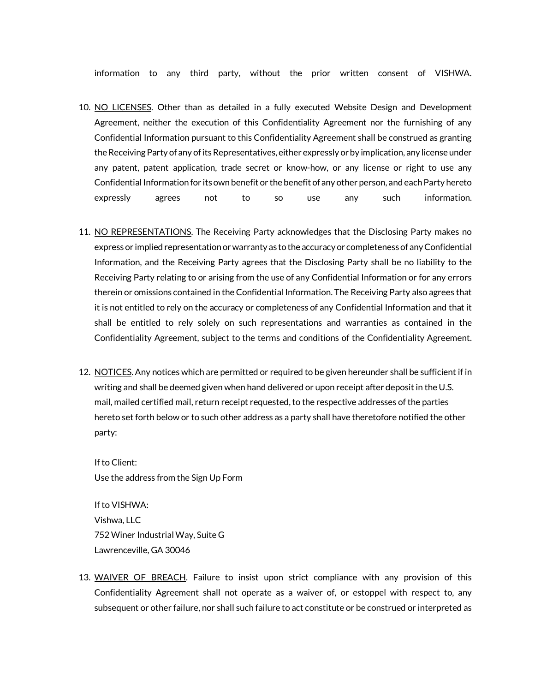information to any third party, without the prior written consent of VISHWA.

- 10. NO LICENSES. Other than as detailed in a fully executed Website Design and Development Agreement, neither the execution of this Confidentiality Agreement nor the furnishing of any Confidential Information pursuant to this Confidentiality Agreement shall be construed as granting the Receiving Party of any of its Representatives, either expressly or by implication, any license under any patent, patent application, trade secret or know-how, or any license or right to use any Confidential Informationfor its own benefit or the benefit of any other person, and each Party hereto expressly agrees not to so use any such information.
- 11. NO REPRESENTATIONS. The Receiving Party acknowledges that the Disclosing Party makes no express or implied representation or warranty as to the accuracy or completeness of any Confidential Information, and the Receiving Party agrees that the Disclosing Party shall be no liability to the Receiving Party relating to or arising from the use of any Confidential Information or for any errors therein or omissions contained in the Confidential Information. The Receiving Party also agrees that it is not entitled to rely on the accuracy or completeness of any Confidential Information and that it shall be entitled to rely solely on such representations and warranties as contained in the Confidentiality Agreement, subject to the terms and conditions of the Confidentiality Agreement.
- 12. NOTICES. Any notices which are permitted or required to be given hereunder shall be sufficient if in writing and shall be deemed given when hand delivered or upon receipt after deposit in the U.S. mail, mailed certified mail, return receipt requested, to the respective addresses of the parties hereto set forth below or to such other address as a party shall have theretofore notified the other party:

If to Client: Use the address from the Sign Up Form

If to VISHWA: Vishwa, LLC 752 Winer Industrial Way, Suite G Lawrenceville, GA 30046

13. WAIVER OF BREACH. Failure to insist upon strict compliance with any provision of this Confidentiality Agreement shall not operate as a waiver of, or estoppel with respect to, any subsequent or other failure, nor shall such failure to act constitute or be construed or interpreted as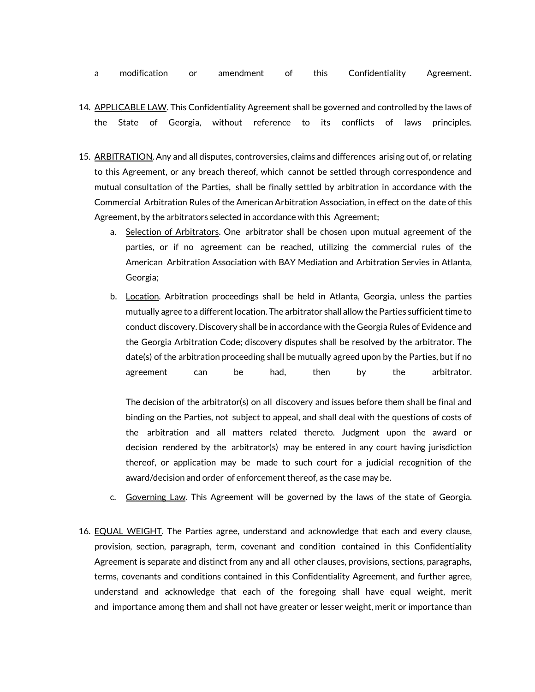- a modification or amendment of this Confidentiality Agreement.
- 14. APPLICABLE LAW. This Confidentiality Agreement shall be governed and controlled by the laws of the State of Georgia, without reference to its conflicts of laws principles.
- 15. ARBITRATION. Any and all disputes, controversies, claims and differences arising out of, or relating to this Agreement, or any breach thereof, which cannot be settled through correspondence and mutual consultation of the Parties, shall be finally settled by arbitration in accordance with the Commercial Arbitration Rules of the American Arbitration Association, in effect on the date of this Agreement, by the arbitrators selected in accordance with this Agreement;
	- a. Selection of Arbitrators. One arbitrator shall be chosen upon mutual agreement of the parties, or if no agreement can be reached, utilizing the commercial rules of the American Arbitration Association with BAY Mediation and Arbitration Servies in Atlanta, Georgia;
	- b. Location. Arbitration proceedings shall be held in Atlanta, Georgia, unless the parties mutually agree to a different location. The arbitrator shall allow the Parties sufficient time to conduct discovery. Discovery shall be in accordance with the Georgia Rules of Evidence and the Georgia Arbitration Code; discovery disputes shall be resolved by the arbitrator. The date(s) of the arbitration proceeding shall be mutually agreed upon by the Parties, but if no agreement can be had, then by the arbitrator.

The decision of the arbitrator(s) on all discovery and issues before them shall be final and binding on the Parties, not subject to appeal, and shall deal with the questions of costs of the arbitration and all matters related thereto. Judgment upon the award or decision rendered by the arbitrator(s) may be entered in any court having jurisdiction thereof, or application may be made to such court for a judicial recognition of the award/decision and order of enforcement thereof, as the case may be.

- c. Governing Law. This Agreement will be governed by the laws of the state of Georgia.
- 16. **EQUAL WEIGHT**. The Parties agree, understand and acknowledge that each and every clause, provision, section, paragraph, term, covenant and condition contained in this Confidentiality Agreement is separate and distinct from any and all other clauses, provisions, sections, paragraphs, terms, covenants and conditions contained in this Confidentiality Agreement, and further agree, understand and acknowledge that each of the foregoing shall have equal weight, merit and importance among them and shall not have greater or lesser weight, merit or importance than